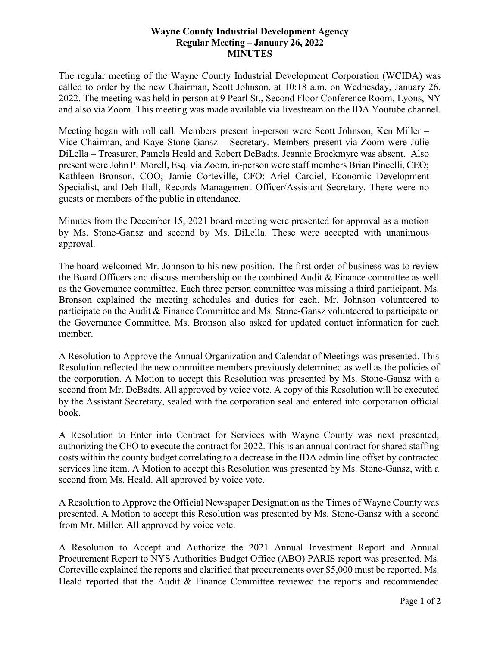## **Wayne County Industrial Development Agency Regular Meeting – January 26, 2022 MINUTES**

The regular meeting of the Wayne County Industrial Development Corporation (WCIDA) was called to order by the new Chairman, Scott Johnson, at 10:18 a.m. on Wednesday, January 26, 2022. The meeting was held in person at 9 Pearl St., Second Floor Conference Room, Lyons, NY and also via Zoom. This meeting was made available via livestream on the IDA Youtube channel.

Meeting began with roll call. Members present in-person were Scott Johnson, Ken Miller – Vice Chairman, and Kaye Stone-Gansz – Secretary. Members present via Zoom were Julie DiLella – Treasurer, Pamela Heald and Robert DeBadts. Jeannie Brockmyre was absent. Also present were John P. Morell, Esq. via Zoom, in-person were staff members Brian Pincelli, CEO; Kathleen Bronson, COO; Jamie Corteville, CFO; Ariel Cardiel, Economic Development Specialist, and Deb Hall, Records Management Officer/Assistant Secretary. There were no guests or members of the public in attendance.

Minutes from the December 15, 2021 board meeting were presented for approval as a motion by Ms. Stone-Gansz and second by Ms. DiLella. These were accepted with unanimous approval.

The board welcomed Mr. Johnson to his new position. The first order of business was to review the Board Officers and discuss membership on the combined Audit & Finance committee as well as the Governance committee. Each three person committee was missing a third participant. Ms. Bronson explained the meeting schedules and duties for each. Mr. Johnson volunteered to participate on the Audit & Finance Committee and Ms. Stone-Gansz volunteered to participate on the Governance Committee. Ms. Bronson also asked for updated contact information for each member.

A Resolution to Approve the Annual Organization and Calendar of Meetings was presented. This Resolution reflected the new committee members previously determined as well as the policies of the corporation. A Motion to accept this Resolution was presented by Ms. Stone-Gansz with a second from Mr. DeBadts. All approved by voice vote. A copy of this Resolution will be executed by the Assistant Secretary, sealed with the corporation seal and entered into corporation official book.

A Resolution to Enter into Contract for Services with Wayne County was next presented, authorizing the CEO to execute the contract for 2022. This is an annual contract for shared staffing costs within the county budget correlating to a decrease in the IDA admin line offset by contracted services line item. A Motion to accept this Resolution was presented by Ms. Stone-Gansz, with a second from Ms. Heald. All approved by voice vote.

A Resolution to Approve the Official Newspaper Designation as the Times of Wayne County was presented. A Motion to accept this Resolution was presented by Ms. Stone-Gansz with a second from Mr. Miller. All approved by voice vote.

A Resolution to Accept and Authorize the 2021 Annual Investment Report and Annual Procurement Report to NYS Authorities Budget Office (ABO) PARIS report was presented. Ms. Corteville explained the reports and clarified that procurements over \$5,000 must be reported. Ms. Heald reported that the Audit & Finance Committee reviewed the reports and recommended